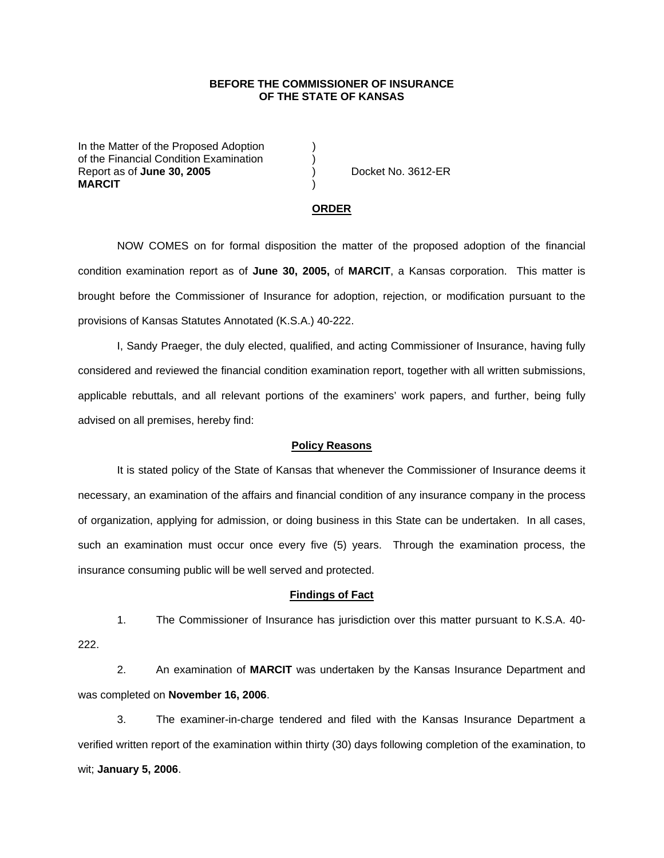## **BEFORE THE COMMISSIONER OF INSURANCE OF THE STATE OF KANSAS**

In the Matter of the Proposed Adoption of the Financial Condition Examination ) Report as of **June 30, 2005** (and  $\overline{a}$ ) Docket No. 3612-ER **MARCIT** )

#### **ORDER**

 NOW COMES on for formal disposition the matter of the proposed adoption of the financial condition examination report as of **June 30, 2005,** of **MARCIT**, a Kansas corporation. This matter is brought before the Commissioner of Insurance for adoption, rejection, or modification pursuant to the provisions of Kansas Statutes Annotated (K.S.A.) 40-222.

 I, Sandy Praeger, the duly elected, qualified, and acting Commissioner of Insurance, having fully considered and reviewed the financial condition examination report, together with all written submissions, applicable rebuttals, and all relevant portions of the examiners' work papers, and further, being fully advised on all premises, hereby find:

### **Policy Reasons**

 It is stated policy of the State of Kansas that whenever the Commissioner of Insurance deems it necessary, an examination of the affairs and financial condition of any insurance company in the process of organization, applying for admission, or doing business in this State can be undertaken. In all cases, such an examination must occur once every five (5) years. Through the examination process, the insurance consuming public will be well served and protected.

### **Findings of Fact**

 1. The Commissioner of Insurance has jurisdiction over this matter pursuant to K.S.A. 40- 222.

 2. An examination of **MARCIT** was undertaken by the Kansas Insurance Department and was completed on **November 16, 2006**.

 3. The examiner-in-charge tendered and filed with the Kansas Insurance Department a verified written report of the examination within thirty (30) days following completion of the examination, to wit; **January 5, 2006**.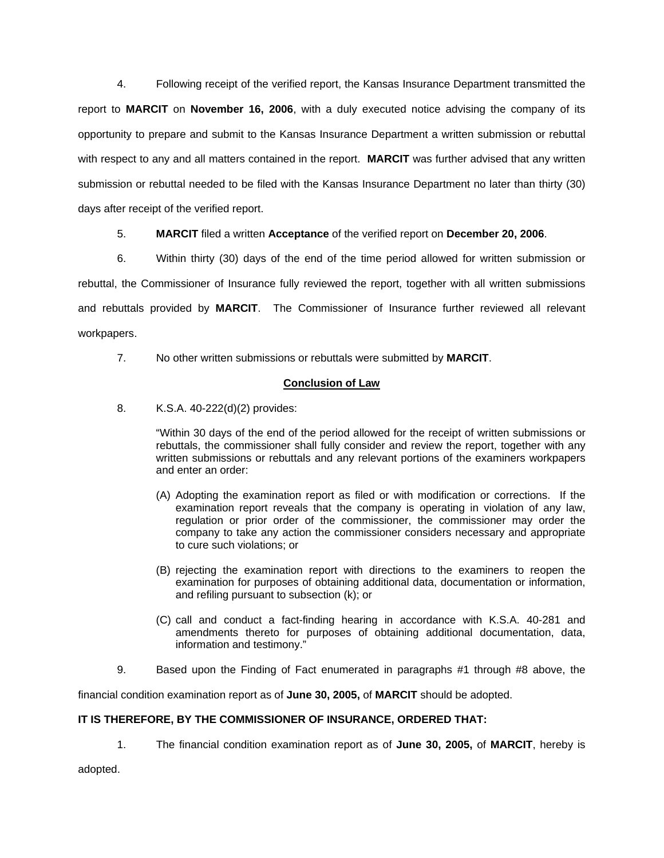4. Following receipt of the verified report, the Kansas Insurance Department transmitted the report to **MARCIT** on **November 16, 2006**, with a duly executed notice advising the company of its opportunity to prepare and submit to the Kansas Insurance Department a written submission or rebuttal with respect to any and all matters contained in the report. **MARCIT** was further advised that any written submission or rebuttal needed to be filed with the Kansas Insurance Department no later than thirty (30) days after receipt of the verified report.

5. **MARCIT** filed a written **Acceptance** of the verified report on **December 20, 2006**.

 6. Within thirty (30) days of the end of the time period allowed for written submission or rebuttal, the Commissioner of Insurance fully reviewed the report, together with all written submissions and rebuttals provided by **MARCIT**. The Commissioner of Insurance further reviewed all relevant workpapers.

7. No other written submissions or rebuttals were submitted by **MARCIT**.

# **Conclusion of Law**

8. K.S.A. 40-222(d)(2) provides:

"Within 30 days of the end of the period allowed for the receipt of written submissions or rebuttals, the commissioner shall fully consider and review the report, together with any written submissions or rebuttals and any relevant portions of the examiners workpapers and enter an order:

- (A) Adopting the examination report as filed or with modification or corrections. If the examination report reveals that the company is operating in violation of any law, regulation or prior order of the commissioner, the commissioner may order the company to take any action the commissioner considers necessary and appropriate to cure such violations; or
- (B) rejecting the examination report with directions to the examiners to reopen the examination for purposes of obtaining additional data, documentation or information, and refiling pursuant to subsection (k); or
- (C) call and conduct a fact-finding hearing in accordance with K.S.A. 40-281 and amendments thereto for purposes of obtaining additional documentation, data, information and testimony."
- 9. Based upon the Finding of Fact enumerated in paragraphs #1 through #8 above, the

financial condition examination report as of **June 30, 2005,** of **MARCIT** should be adopted.

## **IT IS THEREFORE, BY THE COMMISSIONER OF INSURANCE, ORDERED THAT:**

1. The financial condition examination report as of **June 30, 2005,** of **MARCIT**, hereby is

adopted.